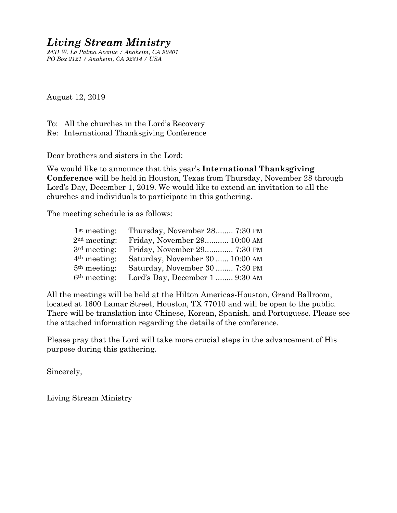# *Living Stream Ministry*

*2431 W. La Palma Avenue / Anaheim, CA 92801 PO Box 2121 / Anaheim, CA 92814 / USA*

August 12, 2019

To: All the churches in the Lord's Recovery Re: International Thanksgiving Conference

Dear brothers and sisters in the Lord:

We would like to announce that this year's **International Thanksgiving Conference** will be held in Houston, Texas from Thursday, November 28 through Lord's Day, December 1, 2019. We would like to extend an invitation to all the churches and individuals to participate in this gathering.

The meeting schedule is as follows:

| 2 <sup>nd</sup> meeting:<br>3 <sup>rd</sup> meeting:<br>4 <sup>th</sup> meeting:<br>5 <sup>th</sup> meeting:<br>6 <sup>th</sup> meeting: | 1 <sup>st</sup> meeting: | Thursday, November 28 7:30 PM   |
|------------------------------------------------------------------------------------------------------------------------------------------|--------------------------|---------------------------------|
|                                                                                                                                          |                          | Friday, November 29 10:00 AM    |
|                                                                                                                                          |                          | Friday, November 29 7:30 PM     |
|                                                                                                                                          |                          | Saturday, November 30  10:00 AM |
|                                                                                                                                          |                          | Saturday, November 30  7:30 PM  |
|                                                                                                                                          |                          | Lord's Day, December 1  9:30 AM |

All the meetings will be held at the Hilton Americas-Houston, Grand Ballroom, located at 1600 Lamar Street, Houston, TX 77010 and will be open to the public. There will be translation into Chinese, Korean, Spanish, and Portuguese. Please see the attached information regarding the details of the conference.

Please pray that the Lord will take more crucial steps in the advancement of His purpose during this gathering.

Sincerely,

Living Stream Ministry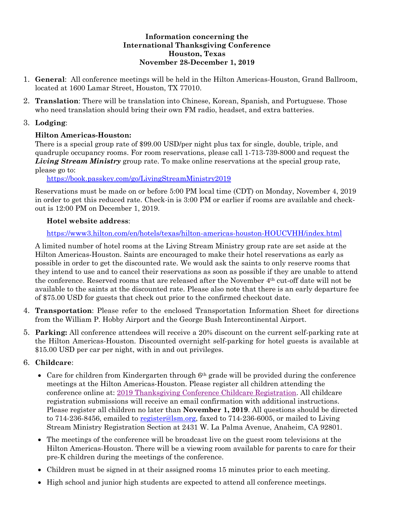#### **Information concerning the International Thanksgiving Conference Houston, Texas November 28-December 1, 2019**

- 1. **General**: All conference meetings will be held in the Hilton Americas-Houston, Grand Ballroom, located at 1600 Lamar Street, Houston, TX 77010.
- 2. **Translation**: There will be translation into Chinese, Korean, Spanish, and Portuguese. Those who need translation should bring their own FM radio, headset, and extra batteries.

## 3. **Lodging**:

## **Hilton Americas-Houston:**

There is a special group rate of \$99.00 USD/per night plus tax for single, double, triple, and quadruple occupancy rooms. For room reservations, please call 1-713-739-8000 and request the *Living Stream Ministry* group rate. To make online reservations at the special group rate, please go to:

## [https://book.passkey.com/go/LivingStreamMinistry2019](https://nam02.safelinks.protection.outlook.com/?url=https%3A%2F%2Fbook.passkey.com%2Fgo%2FLivingStreamMinistry2019&data=02%7C01%7CKristi.Middlebrooks%40hilton.com%7C5ba2991450fe4014598b08d6be9e6d5a%7C660292d2cfd54a3db7a7e8f7ee458a0a%7C0%7C0%7C636905984981808918&sdata=ROMwnUosxZfh%2FldT0M1BNw%2BFvskzQ6A73dmSDTI86uc%3D&reserved=0)

Reservations must be made on or before 5:00 PM local time (CDT) on Monday, November 4, 2019 in order to get this reduced rate. Check-in is 3:00 PM or earlier if rooms are available and checkout is 12:00 PM on December 1, 2019.

# **Hotel website address**:

# <https://www3.hilton.com/en/hotels/texas/hilton-americas-houston-HOUCVHH/index.html>

A limited number of hotel rooms at the Living Stream Ministry group rate are set aside at the Hilton Americas-Houston. Saints are encouraged to make their hotel reservations as early as possible in order to get the discounted rate. We would ask the saints to only reserve rooms that they intend to use and to cancel their reservations as soon as possible if they are unable to attend the conference. Reserved rooms that are released after the November 4th cut-off date will not be available to the saints at the discounted rate. Please also note that there is an early departure fee of \$75.00 USD for guests that check out prior to the confirmed checkout date.

- 4. **Transportation**: Please refer to the enclosed Transportation Information Sheet for directions from the William P. Hobby Airport and the George Bush Intercontinental Airport.
- 5. **Parking:** All conference attendees will receive a 20% discount on the current self-parking rate at the Hilton Americas-Houston. Discounted overnight self-parking for hotel guests is available at \$15.00 USD per car per night, with in and out privileges.

# 6. **Childcare**:

- $\bullet$  Care for children from Kindergarten through  $6<sup>th</sup>$  grade will be provided during the conference meetings at the Hilton Americas-Houston. Please register all children attending the conference online at: [2019 Thanksgiving Conference Childcare Registration.](https://form.jotform.com/91476591556166) All childcare registration submissions will receive an email confirmation with additional instructions. Please register all children no later than **November 1, 2019**. All questions should be directed to 714-236-8456, emailed to [register@lsm.org,](mailto:register@lsm.org) faxed to 714-236-6005, or mailed to Living Stream Ministry Registration Section at 2431 W. La Palma Avenue, Anaheim, CA 92801.
- The meetings of the conference will be broadcast live on the guest room televisions at the Hilton Americas-Houston. There will be a viewing room available for parents to care for their pre-K children during the meetings of the conference.
- Children must be signed in at their assigned rooms 15 minutes prior to each meeting.
- High school and junior high students are expected to attend all conference meetings.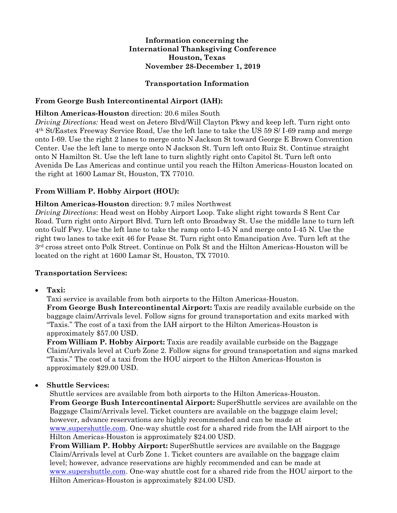#### **Information concerning the International Thanksgiving Conference Houston, Texas November 28-December 1, 2019**

#### **Transportation Information**

#### **From George Bush Intercontinental Airport (IAH):**

#### **Hilton Americas-Houston** direction: 20.6 miles South

*Driving Directions:* Head west on Jetero Blvd/Will Clayton Pkwy and keep left. Turn right onto 4th St/Eastex Freeway Service Road, Use the left lane to take the US 59 S/ I-69 ramp and merge onto I-69. Use the right 2 lanes to merge onto N Jackson St toward George E Brown Convention Center. Use the left lane to merge onto N Jackson St. Turn left onto Ruiz St. Continue straight onto N Hamilton St. Use the left lane to turn slightly right onto Capitol St. Turn left onto Avenida De Las Americas and continue until you reach the Hilton Americas-Houston located on the right at 1600 Lamar St, Houston, TX 77010.

#### **From William P. Hobby Airport (HOU):**

#### **Hilton Americas-Houston** direction: 9.7 miles Northwest

*Driving Directions*: Head west on Hobby Airport Loop. Take slight right towards S Rent Car Road. Turn right onto Airport Blvd. Turn left onto Broadway St. Use the middle lane to turn left onto Gulf Fwy. Use the left lane to take the ramp onto I-45 N and merge onto I-45 N. Use the right two lanes to take exit 46 for Pease St. Turn right onto Emancipation Ave. Turn left at the 3rd cross street onto Polk Street. Continue on Polk St and the Hilton Americas-Houston will be located on the right at 1600 Lamar St, Houston, TX 77010.

#### **Transportation Services:**

#### **Taxi:**

Taxi service is available from both airports to the Hilton Americas-Houston. **From George Bush Intercontinental Airport:** Taxis are readily available curbside on the baggage claim/Arrivals level. Follow signs for ground transportation and exits marked with "Taxis." The cost of a taxi from the IAH airport to the Hilton Americas-Houston is approximately \$57.00 USD.

**From William P. Hobby Airport:** Taxis are readily available curbside on the Baggage Claim/Arrivals level at Curb Zone 2. Follow signs for ground transportation and signs marked "Taxis." The cost of a taxi from the HOU airport to the Hilton Americas-Houston is approximately \$29.00 USD.

#### **Shuttle Services:**

Shuttle services are available from both airports to the Hilton Americas-Houston. **From George Bush Intercontinental Airport:** SuperShuttle services are available on the Baggage Claim/Arrivals level. Ticket counters are available on the baggage claim level; however, advance reservations are highly recommended and can be made at [www.supershuttle.com.](http://www.supershuttle.com/) One-way shuttle cost for a shared ride from the IAH airport to the Hilton Americas-Houston is approximately \$24.00 USD.

**From William P. Hobby Airport:** SuperShuttle services are available on the Baggage Claim/Arrivals level at Curb Zone 1. Ticket counters are available on the baggage claim level; however, advance reservations are highly recommended and can be made at [www.supershuttle.com.](http://www.supershuttle.com/) One-way shuttle cost for a shared ride from the HOU airport to the Hilton Americas-Houston is approximately \$24.00 USD.